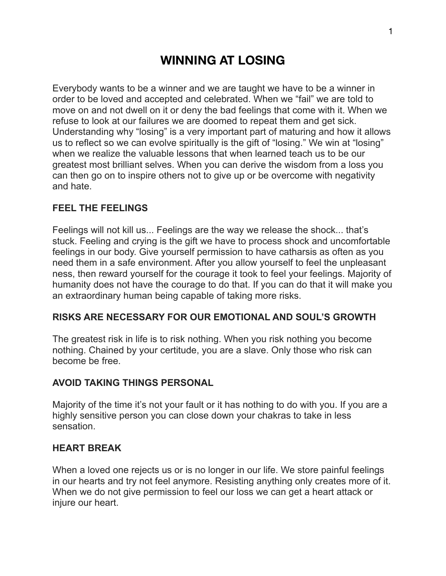# **WINNING AT LOSING**

Everybody wants to be a winner and we are taught we have to be a winner in order to be loved and accepted and celebrated. When we "fail" we are told to move on and not dwell on it or deny the bad feelings that come with it. When we refuse to look at our failures we are doomed to repeat them and get sick. Understanding why "losing" is a very important part of maturing and how it allows us to reflect so we can evolve spiritually is the gift of "losing." We win at "losing" when we realize the valuable lessons that when learned teach us to be our greatest most brilliant selves. When you can derive the wisdom from a loss you can then go on to inspire others not to give up or be overcome with negativity and hate.

### **FEEL THE FEELINGS**

Feelings will not kill us... Feelings are the way we release the shock... that's stuck. Feeling and crying is the gift we have to process shock and uncomfortable feelings in our body. Give yourself permission to have catharsis as often as you need them in a safe environment. After you allow yourself to feel the unpleasant ness, then reward yourself for the courage it took to feel your feelings. Majority of humanity does not have the courage to do that. If you can do that it will make you an extraordinary human being capable of taking more risks.

### **RISKS ARE NECESSARY FOR OUR EMOTIONAL AND SOUL'S GROWTH**

The greatest risk in life is to risk nothing. When you risk nothing you become nothing. Chained by your certitude, you are a slave. Only those who risk can become be free.

### **AVOID TAKING THINGS PERSONAL**

Majority of the time it's not your fault or it has nothing to do with you. If you are a highly sensitive person you can close down your chakras to take in less sensation.

#### **HEART BREAK**

When a loved one rejects us or is no longer in our life. We store painful feelings in our hearts and try not feel anymore. Resisting anything only creates more of it. When we do not give permission to feel our loss we can get a heart attack or injure our heart.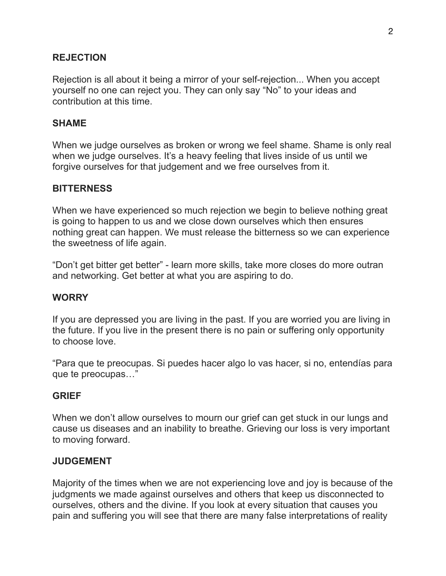#### **REJECTION**

Rejection is all about it being a mirror of your self-rejection... When you accept yourself no one can reject you. They can only say "No" to your ideas and contribution at this time.

#### **SHAME**

When we judge ourselves as broken or wrong we feel shame. Shame is only real when we judge ourselves. It's a heavy feeling that lives inside of us until we forgive ourselves for that judgement and we free ourselves from it.

#### **BITTERNESS**

When we have experienced so much rejection we begin to believe nothing great is going to happen to us and we close down ourselves which then ensures nothing great can happen. We must release the bitterness so we can experience the sweetness of life again.

"Don't get bitter get better" - learn more skills, take more closes do more outran and networking. Get better at what you are aspiring to do.

#### **WORRY**

If you are depressed you are living in the past. If you are worried you are living in the future. If you live in the present there is no pain or suffering only opportunity to choose love.

"Para que te preocupas. Si puedes hacer algo lo vas hacer, si no, entendías para que te preocupas…"

#### **GRIEF**

When we don't allow ourselves to mourn our grief can get stuck in our lungs and cause us diseases and an inability to breathe. Grieving our loss is very important to moving forward.

#### **JUDGEMENT**

Majority of the times when we are not experiencing love and joy is because of the judgments we made against ourselves and others that keep us disconnected to ourselves, others and the divine. If you look at every situation that causes you pain and suffering you will see that there are many false interpretations of reality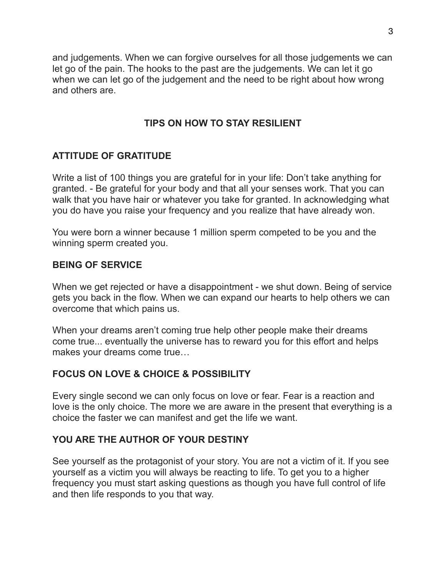and judgements. When we can forgive ourselves for all those judgements we can let go of the pain. The hooks to the past are the judgements. We can let it go when we can let go of the judgement and the need to be right about how wrong and others are.

### **TIPS ON HOW TO STAY RESILIENT**

### **ATTITUDE OF GRATITUDE**

Write a list of 100 things you are grateful for in your life: Don't take anything for granted. - Be grateful for your body and that all your senses work. That you can walk that you have hair or whatever you take for granted. In acknowledging what you do have you raise your frequency and you realize that have already won.

You were born a winner because 1 million sperm competed to be you and the winning sperm created you.

### **BEING OF SERVICE**

When we get rejected or have a disappointment - we shut down. Being of service gets you back in the flow. When we can expand our hearts to help others we can overcome that which pains us.

When your dreams aren't coming true help other people make their dreams come true... eventually the universe has to reward you for this effort and helps makes your dreams come true…

### **FOCUS ON LOVE & CHOICE & POSSIBILITY**

Every single second we can only focus on love or fear. Fear is a reaction and love is the only choice. The more we are aware in the present that everything is a choice the faster we can manifest and get the life we want.

### **YOU ARE THE AUTHOR OF YOUR DESTINY**

See yourself as the protagonist of your story. You are not a victim of it. If you see yourself as a victim you will always be reacting to life. To get you to a higher frequency you must start asking questions as though you have full control of life and then life responds to you that way.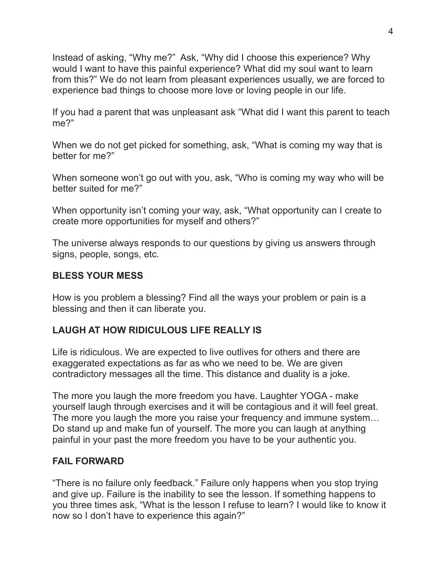Instead of asking, "Why me?" Ask, "Why did I choose this experience? Why would I want to have this painful experience? What did my soul want to learn from this?" We do not learn from pleasant experiences usually, we are forced to experience bad things to choose more love or loving people in our life.

If you had a parent that was unpleasant ask "What did I want this parent to teach me?"

When we do not get picked for something, ask, "What is coming my way that is better for me?"

When someone won't go out with you, ask, "Who is coming my way who will be better suited for me?"

When opportunity isn't coming your way, ask, "What opportunity can I create to create more opportunities for myself and others?"

The universe always responds to our questions by giving us answers through signs, people, songs, etc.

### **BLESS YOUR MESS**

How is you problem a blessing? Find all the ways your problem or pain is a blessing and then it can liberate you.

### **LAUGH AT HOW RIDICULOUS LIFE REALLY IS**

Life is ridiculous. We are expected to live outlives for others and there are exaggerated expectations as far as who we need to be. We are given contradictory messages all the time. This distance and duality is a joke.

The more you laugh the more freedom you have. Laughter YOGA - make yourself laugh through exercises and it will be contagious and it will feel great. The more you laugh the more you raise your frequency and immune system… Do stand up and make fun of yourself. The more you can laugh at anything painful in your past the more freedom you have to be your authentic you.

### **FAIL FORWARD**

"There is no failure only feedback." Failure only happens when you stop trying and give up. Failure is the inability to see the lesson. If something happens to you three times ask, "What is the lesson I refuse to learn? I would like to know it now so I don't have to experience this again?"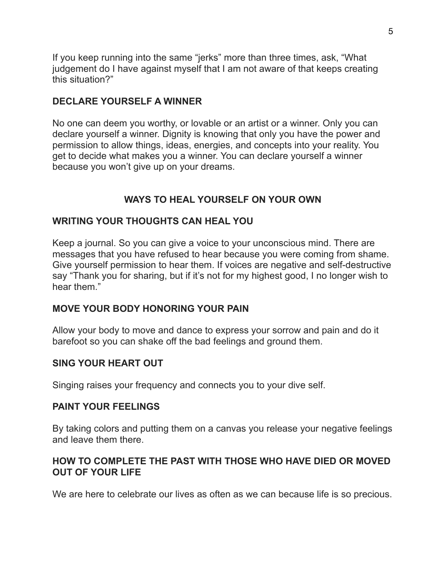If you keep running into the same "jerks" more than three times, ask, "What judgement do I have against myself that I am not aware of that keeps creating this situation?"

### **DECLARE YOURSELF A WINNER**

No one can deem you worthy, or lovable or an artist or a winner. Only you can declare yourself a winner. Dignity is knowing that only you have the power and permission to allow things, ideas, energies, and concepts into your reality. You get to decide what makes you a winner. You can declare yourself a winner because you won't give up on your dreams.

### **WAYS TO HEAL YOURSELF ON YOUR OWN**

### **WRITING YOUR THOUGHTS CAN HEAL YOU**

Keep a journal. So you can give a voice to your unconscious mind. There are messages that you have refused to hear because you were coming from shame. Give yourself permission to hear them. If voices are negative and self-destructive say "Thank you for sharing, but if it's not for my highest good, I no longer wish to hear them."

### **MOVE YOUR BODY HONORING YOUR PAIN**

Allow your body to move and dance to express your sorrow and pain and do it barefoot so you can shake off the bad feelings and ground them.

### **SING YOUR HEART OUT**

Singing raises your frequency and connects you to your dive self.

#### **PAINT YOUR FEELINGS**

By taking colors and putting them on a canvas you release your negative feelings and leave them there.

### **HOW TO COMPLETE THE PAST WITH THOSE WHO HAVE DIED OR MOVED OUT OF YOUR LIFE**

We are here to celebrate our lives as often as we can because life is so precious.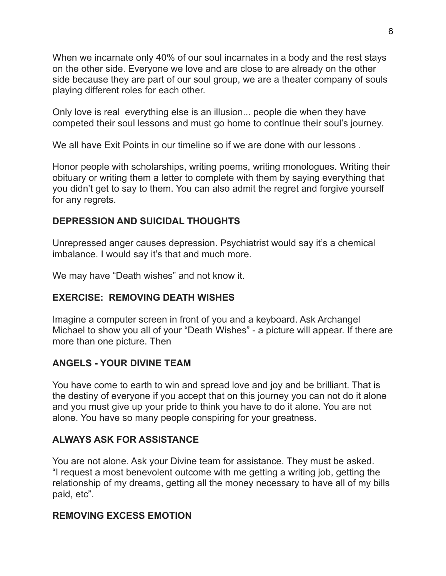When we incarnate only 40% of our soul incarnates in a body and the rest stays on the other side. Everyone we love and are close to are already on the other side because they are part of our soul group, we are a theater company of souls playing different roles for each other.

Only love is real everything else is an illusion... people die when they have competed their soul lessons and must go home to contInue their soul's journey.

We all have Exit Points in our timeline so if we are done with our lessons.

Honor people with scholarships, writing poems, writing monologues. Writing their obituary or writing them a letter to complete with them by saying everything that you didn't get to say to them. You can also admit the regret and forgive yourself for any regrets.

### **DEPRESSION AND SUICIDAL THOUGHTS**

Unrepressed anger causes depression. Psychiatrist would say it's a chemical imbalance. I would say it's that and much more.

We may have "Death wishes" and not know it.

# **EXERCISE: REMOVING DEATH WISHES**

Imagine a computer screen in front of you and a keyboard. Ask Archangel Michael to show you all of your "Death Wishes" - a picture will appear. If there are more than one picture. Then

# **ANGELS - YOUR DIVINE TEAM**

You have come to earth to win and spread love and joy and be brilliant. That is the destiny of everyone if you accept that on this journey you can not do it alone and you must give up your pride to think you have to do it alone. You are not alone. You have so many people conspiring for your greatness.

# **ALWAYS ASK FOR ASSISTANCE**

You are not alone. Ask your Divine team for assistance. They must be asked. "I request a most benevolent outcome with me getting a writing job, getting the relationship of my dreams, getting all the money necessary to have all of my bills paid, etc".

### **REMOVING EXCESS EMOTION**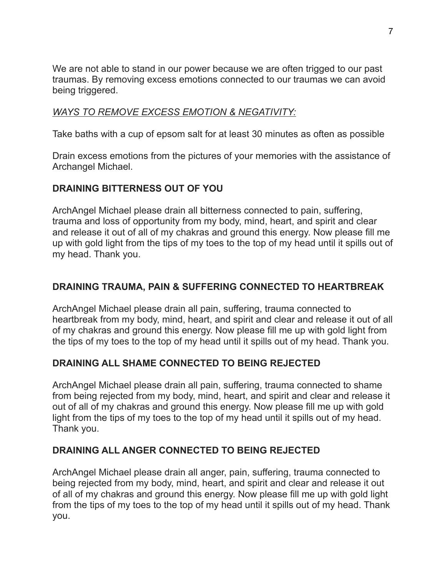We are not able to stand in our power because we are often trigged to our past traumas. By removing excess emotions connected to our traumas we can avoid being triggered.

### *WAYS TO REMOVE EXCESS EMOTION & NEGATIVITY:*

Take baths with a cup of epsom salt for at least 30 minutes as often as possible

Drain excess emotions from the pictures of your memories with the assistance of Archangel Michael.

## **DRAINING BITTERNESS OUT OF YOU**

ArchAngel Michael please drain all bitterness connected to pain, suffering, trauma and loss of opportunity from my body, mind, heart, and spirit and clear and release it out of all of my chakras and ground this energy. Now please fill me up with gold light from the tips of my toes to the top of my head until it spills out of my head. Thank you.

### **DRAINING TRAUMA, PAIN & SUFFERING CONNECTED TO HEARTBREAK**

ArchAngel Michael please drain all pain, suffering, trauma connected to heartbreak from my body, mind, heart, and spirit and clear and release it out of all of my chakras and ground this energy. Now please fill me up with gold light from the tips of my toes to the top of my head until it spills out of my head. Thank you.

### **DRAINING ALL SHAME CONNECTED TO BEING REJECTED**

ArchAngel Michael please drain all pain, suffering, trauma connected to shame from being rejected from my body, mind, heart, and spirit and clear and release it out of all of my chakras and ground this energy. Now please fill me up with gold light from the tips of my toes to the top of my head until it spills out of my head. Thank you.

### **DRAINING ALL ANGER CONNECTED TO BEING REJECTED**

ArchAngel Michael please drain all anger, pain, suffering, trauma connected to being rejected from my body, mind, heart, and spirit and clear and release it out of all of my chakras and ground this energy. Now please fill me up with gold light from the tips of my toes to the top of my head until it spills out of my head. Thank you.